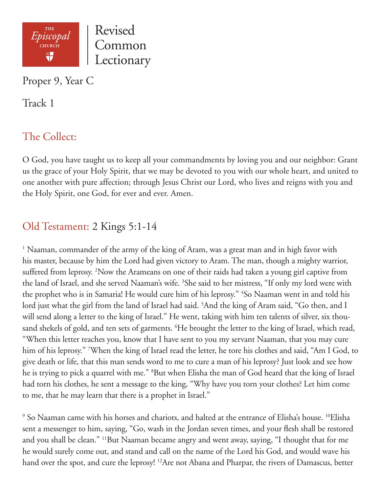

Proper 9, Year C

Track 1

# The Collect:

O God, you have taught us to keep all your commandments by loving you and our neighbor: Grant us the grace of your Holy Spirit, that we may be devoted to you with our whole heart, and united to one another with pure affection; through Jesus Christ our Lord, who lives and reigns with you and the Holy Spirit, one God, for ever and ever. Amen.

# Old Testament: 2 Kings 5:1-14

<sup>1</sup> Naaman, commander of the army of the king of Aram, was a great man and in high favor with his master, because by him the Lord had given victory to Aram. The man, though a mighty warrior, suffered from leprosy. <sup>2</sup>Now the Arameans on one of their raids had taken a young girl captive from the land of Israel, and she served Naaman's wife. <sup>3</sup>She said to her mistress, "If only my lord were with the prophet who is in Samaria! He would cure him of his leprosy." <sup>4</sup>So Naaman went in and told his lord just what the girl from the land of Israel had said. <sup>5</sup>And the king of Aram said, "Go then, and I will send along a letter to the king of Israel." He went, taking with him ten talents of silver, six thousand shekels of gold, and ten sets of garments. <sup>6</sup>He brought the letter to the king of Israel, which read, "When this letter reaches you, know that I have sent to you my servant Naaman, that you may cure him of his leprosy." 7 When the king of Israel read the letter, he tore his clothes and said, "Am I God, to give death or life, that this man sends word to me to cure a man of his leprosy? Just look and see how he is trying to pick a quarrel with me." 8 But when Elisha the man of God heard that the king of Israel had torn his clothes, he sent a message to the king, "Why have you torn your clothes? Let him come to me, that he may learn that there is a prophet in Israel."

 $^9$  So Naaman came with his horses and chariots, and halted at the entrance of Elisha's house.  $^{10}{\rm E}$ lisha sent a messenger to him, saying, "Go, wash in the Jordan seven times, and your flesh shall be restored and you shall be clean." 11But Naaman became angry and went away, saying, "I thought that for me he would surely come out, and stand and call on the name of the Lord his God, and would wave his hand over the spot, and cure the leprosy! <sup>12</sup>Are not Abana and Pharpar, the rivers of Damascus, better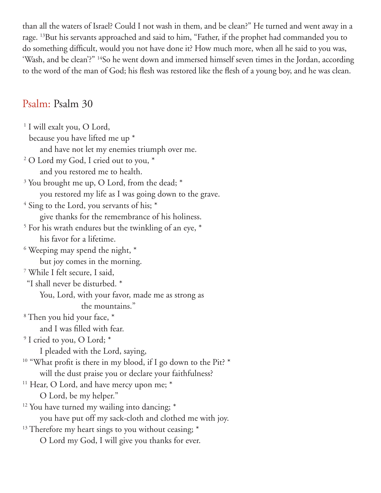than all the waters of Israel? Could I not wash in them, and be clean?" He turned and went away in a rage. 13But his servants approached and said to him, "Father, if the prophet had commanded you to do something difficult, would you not have done it? How much more, when all he said to you was, 'Wash, and be clean'?" <sup>14</sup>So he went down and immersed himself seven times in the Jordan, according to the word of the man of God; his flesh was restored like the flesh of a young boy, and he was clean.

### Psalm: Psalm 30

<sup>1</sup> I will exalt you, O Lord, because you have lifted me up \* and have not let my enemies triumph over me. 2 O Lord my God, I cried out to you, \* and you restored me to health. <sup>3</sup> You brought me up, O Lord, from the dead; \* you restored my life as I was going down to the grave. <sup>4</sup> Sing to the Lord, you servants of his; \* give thanks for the remembrance of his holiness. 5 For his wrath endures but the twinkling of an eye, \* his favor for a lifetime.  $6$  Weeping may spend the night,  $*$  but joy comes in the morning. 7 While I felt secure, I said, "I shall never be disturbed. \* You, Lord, with your favor, made me as strong as the mountains." 8 Then you hid your face, \* and I was filled with fear. <sup>9</sup> I cried to you, O Lord; \* I pleaded with the Lord, saying, <sup>10</sup> "What profit is there in my blood, if I go down to the Pit? \* will the dust praise you or declare your faithfulness? <sup>11</sup> Hear, O Lord, and have mercy upon me; \* O Lord, be my helper."  $12$  You have turned my wailing into dancing;  $*$  you have put off my sack-cloth and clothed me with joy. <sup>13</sup> Therefore my heart sings to you without ceasing; \* O Lord my God, I will give you thanks for ever.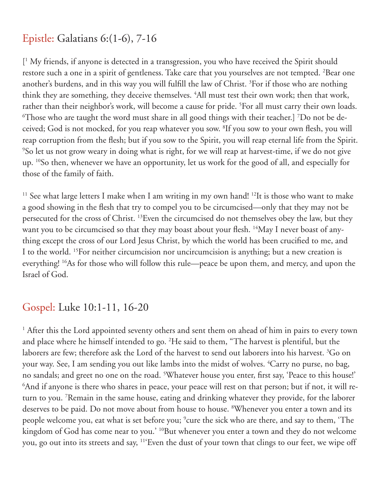# Epistle: Galatians 6:(1-6), 7-16

[ 1 My friends, if anyone is detected in a transgression, you who have received the Spirit should restore such a one in a spirit of gentleness. Take care that you yourselves are not tempted. 2 Bear one another's burdens, and in this way you will fulfill the law of Christ. 3 For if those who are nothing think they are something, they deceive themselves. 4 All must test their own work; then that work, rather than their neighbor's work, will become a cause for pride. <sup>5</sup>For all must carry their own loads.  $\rm ^6$ Those who are taught the word must share in all good things with their teacher.] <sup>7</sup>Do not be deceived; God is not mocked, for you reap whatever you sow. 8 If you sow to your own flesh, you will reap corruption from the flesh; but if you sow to the Spirit, you will reap eternal life from the Spirit. 9 So let us not grow weary in doing what is right, for we will reap at harvest-time, if we do not give up. 10So then, whenever we have an opportunity, let us work for the good of all, and especially for those of the family of faith.

<sup>11</sup> See what large letters I make when I am writing in my own hand!<sup>12</sup>It is those who want to make a good showing in the flesh that try to compel you to be circumcised—only that they may not be persecuted for the cross of Christ. 13Even the circumcised do not themselves obey the law, but they want you to be circumcised so that they may boast about your flesh. <sup>14</sup>May I never boast of anything except the cross of our Lord Jesus Christ, by which the world has been crucified to me, and I to the world. 15For neither circumcision nor uncircumcision is anything; but a new creation is everything! 16As for those who will follow this rule—peace be upon them, and mercy, and upon the Israel of God.

#### Gospel: Luke 10:1-11, 16-20

<sup>1</sup> After this the Lord appointed seventy others and sent them on ahead of him in pairs to every town and place where he himself intended to go. 2 He said to them, "The harvest is plentiful, but the laborers are few; therefore ask the Lord of the harvest to send out laborers into his harvest.  ${}^3\mathrm{Go}$  on your way. See, I am sending you out like lambs into the midst of wolves. 4 Carry no purse, no bag, no sandals; and greet no one on the road. <sup>5</sup>Whatever house you enter, first say, 'Peace to this house!'  $^6$ And if anyone is there who shares in peace, your peace will rest on that person; but if not, it will return to you. 7 Remain in the same house, eating and drinking whatever they provide, for the laborer deserves to be paid. Do not move about from house to house. <sup>8</sup>Whenever you enter a town and its people welcome you, eat what is set before you; <sup>9</sup>cure the sick who are there, and say to them, 'The kingdom of God has come near to you.' <sup>10</sup>But whenever you enter a town and they do not welcome you, go out into its streets and say, 11'Even the dust of your town that clings to our feet, we wipe off